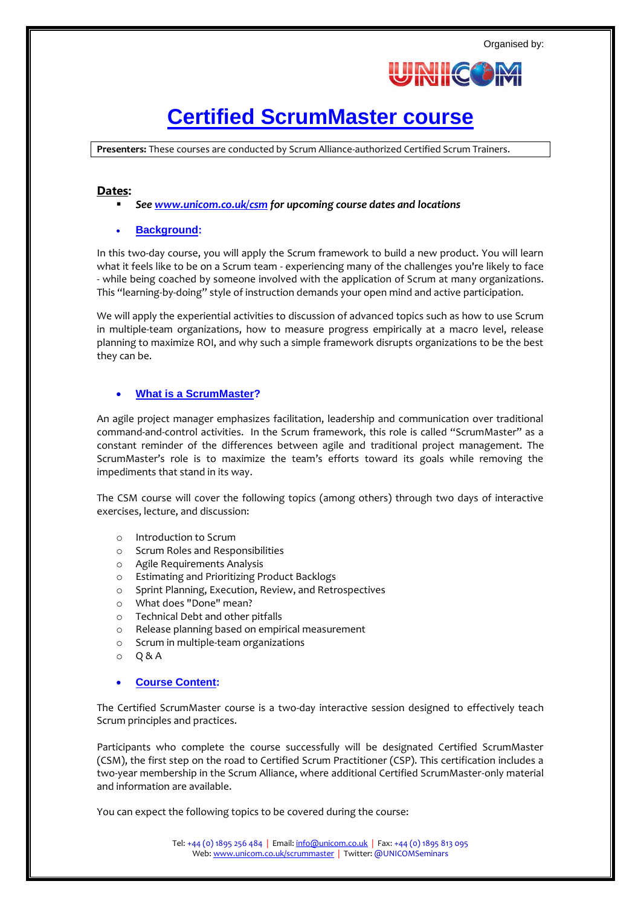

# **[Certified ScrumMaster course](http://www.unicom.co.uk/scrummaster)**

**Presenters:** These courses are conducted by Scrum Alliance-authorized Certified Scrum Trainers.

## **Dates:**

*Se[e www.unicom.co.uk/csm](http://www.unicom.co.uk/csm) for upcoming course dates and locations*

# **Background:**

In this two-day course, you will apply the Scrum framework to build a new product. You will learn what it feels like to be on a Scrum team - experiencing many of the challenges you're likely to face - while being coached by someone involved with the application of Scrum at many organizations. This "learning-by-doing" style of instruction demands your open mind and active participation.

We will apply the experiential activities to discussion of advanced topics such as how to use Scrum in multiple-team organizations, how to measure progress empirically at a macro level, release planning to maximize ROI, and why such a simple framework disrupts organizations to be the best they can be.

## **What is a ScrumMaster?**

An agile project manager emphasizes facilitation, leadership and communication over traditional command-and-control activities. In the Scrum framework, this role is called "ScrumMaster" as a constant reminder of the differences between agile and traditional project management. The ScrumMaster's role is to maximize the team's efforts toward its goals while removing the impediments that stand in its way.

The CSM course will cover the following topics (among others) through two days of interactive exercises, lecture, and discussion:

- o Introduction to Scrum
- o Scrum Roles and Responsibilities
- o Agile Requirements Analysis
- o Estimating and Prioritizing Product Backlogs
- o Sprint Planning, Execution, Review, and Retrospectives
- o What does "Done" mean?
- o Technical Debt and other pitfalls
- o Release planning based on empirical measurement
- o Scrum in multiple-team organizations
- $O$   $O$  & A

#### **Course Content:**

The Certified ScrumMaster course is a two-day interactive session designed to effectively teach Scrum principles and practices.

Participants who complete the course successfully will be designated Certified ScrumMaster (CSM), the first step on the road to Certified Scrum Practitioner (CSP). This certification includes a two-year membership in the Scrum Alliance, where additional Certified ScrumMaster-only material and information are available.

You can expect the following topics to be covered during the course:

Tel: +44 (0) 1895 256 484 | Email[: info@unicom.co.uk](mailto:info@unicom.co.uk) | Fax: +44 (0) 1895 813 095 Web: [www.unicom.co.uk/scrummaster](http://www.unicom.co.uk/scrummaster) | Twitter: @UNICOMSeminars